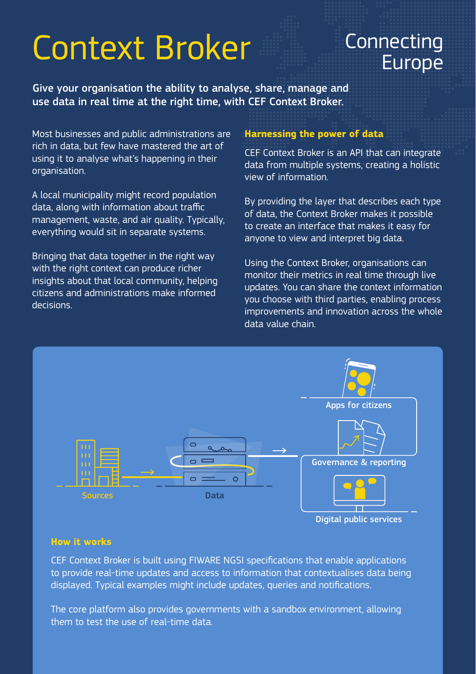# Context Broker Connecting

# Europe

Give your organisation the ability to analyse, share, manage and use data in real time at the right time, with CEF Context Broker.

Most businesses and public administrations are rich in data, but few have mastered the art of using it to analyse what's happening in their organisation.

A local municipality might record population data, along with information about traffic management, waste, and air quality. Typically, everything would sit in separate systems.

Bringing that data together in the right way with the right context can produce richer insights about that local community, helping citizens and administrations make informed decisions.

## **Harnessing the power of data**

CEF Context Broker is an API that can integrate data from multiple systems, creating a holistic view of information.

By providing the layer that describes each type of data, the Context Broker makes it possible to create an interface that makes it easy for anyone to view and interpret big data.

Using the Context Broker, organisations can monitor their metrics in real time through live updates. You can share the context information you choose with third parties, enabling process improvements and innovation across the whole data value chain.



Digital public services

#### **How it works**

CEF Context Broker is built using FIWARE NGSI specifications that enable applications to provide real-time updates and access to information that contextualises data being displayed. Typical examples might include updates, queries and notifications.

The core platform also provides governments with a sandbox environment, allowing them to test the use of real-time data.